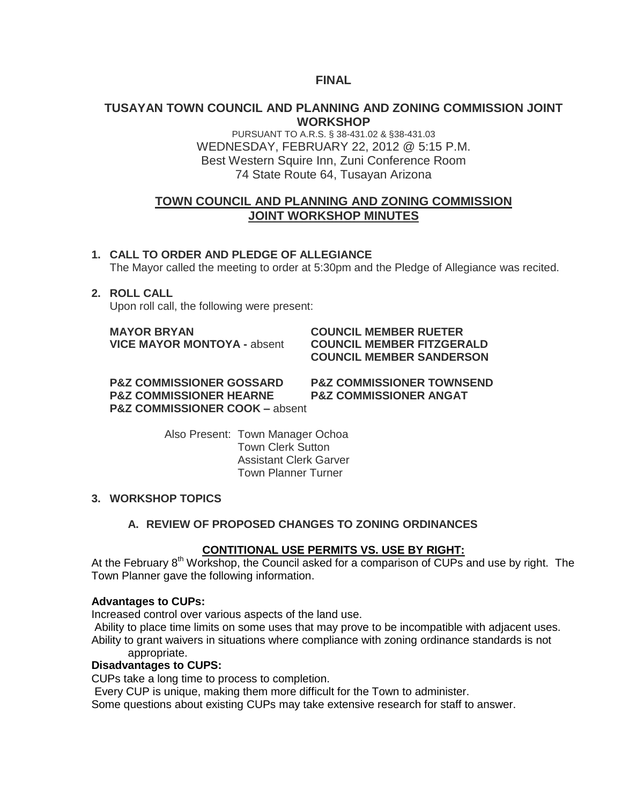# **FINAL**

## **TUSAYAN TOWN COUNCIL AND PLANNING AND ZONING COMMISSION JOINT WORKSHOP**

PURSUANT TO A.R.S. § 38-431.02 & §38-431.03 WEDNESDAY, FEBRUARY 22, 2012 @ 5:15 P.M. Best Western Squire Inn, Zuni Conference Room 74 State Route 64, Tusayan Arizona

# **TOWN COUNCIL AND PLANNING AND ZONING COMMISSION JOINT WORKSHOP MINUTES**

# **1. CALL TO ORDER AND PLEDGE OF ALLEGIANCE**

The Mayor called the meeting to order at 5:30pm and the Pledge of Allegiance was recited.

#### **2. ROLL CALL**

Upon roll call, the following were present:

**MAYOR BRYAN COUNCIL MEMBER RUETER**

# **VICE MAYOR MONTOYA -** absent **COUNCIL MEMBER FITZGERALD COUNCIL MEMBER SANDERSON**

**P&Z COMMISSIONER GOSSARD P&Z COMMISSIONER TOWNSEND P&Z COMMISSIONER HEARNE P&Z COMMISSIONER ANGAT P&Z COMMISSIONER COOK –** absent

Also Present: Town Manager Ochoa Town Clerk Sutton Assistant Clerk Garver Town Planner Turner

## **3. WORKSHOP TOPICS**

## **A. REVIEW OF PROPOSED CHANGES TO ZONING ORDINANCES**

#### **CONTITIONAL USE PERMITS VS. USE BY RIGHT:**

At the February 8<sup>th</sup> Workshop, the Council asked for a comparison of CUPs and use by right. The Town Planner gave the following information.

#### **Advantages to CUPs:**

Increased control over various aspects of the land use.

Ability to place time limits on some uses that may prove to be incompatible with adjacent uses. Ability to grant waivers in situations where compliance with zoning ordinance standards is not

# appropriate.

# **Disadvantages to CUPS:**

CUPs take a long time to process to completion.

Every CUP is unique, making them more difficult for the Town to administer.

Some questions about existing CUPs may take extensive research for staff to answer.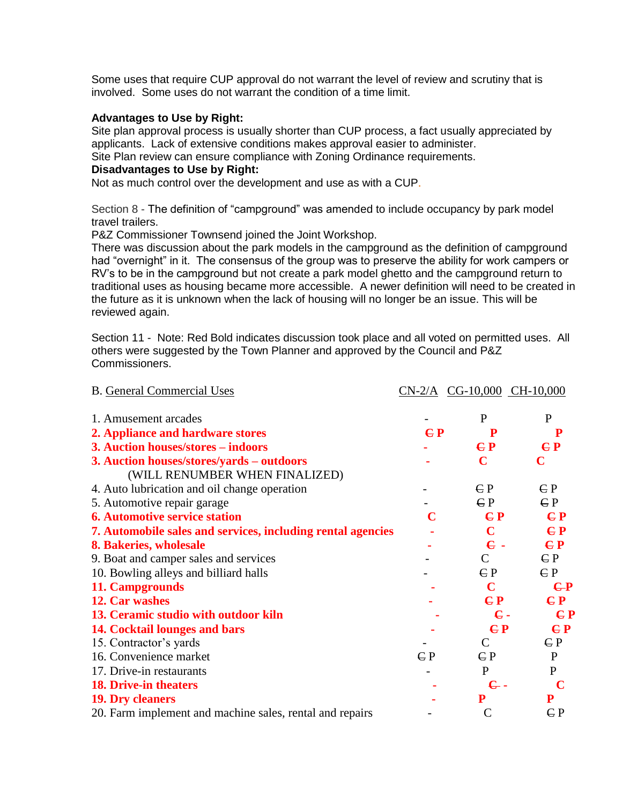Some uses that require CUP approval do not warrant the level of review and scrutiny that is involved. Some uses do not warrant the condition of a time limit.

#### **Advantages to Use by Right:**

Site plan approval process is usually shorter than CUP process, a fact usually appreciated by applicants. Lack of extensive conditions makes approval easier to administer.

Site Plan review can ensure compliance with Zoning Ordinance requirements.

### **Disadvantages to Use by Right:**

Not as much control over the development and use as with a CUP.

Section 8 - The definition of "campground" was amended to include occupancy by park model travel trailers.

P&Z Commissioner Townsend joined the Joint Workshop.

There was discussion about the park models in the campground as the definition of campground had "overnight" in it. The consensus of the group was to preserve the ability for work campers or RV's to be in the campground but not create a park model ghetto and the campground return to traditional uses as housing became more accessible. A newer definition will need to be created in the future as it is unknown when the lack of housing will no longer be an issue. This will be reviewed again.

Section 11 - Note: Red Bold indicates discussion took place and all voted on permitted uses. All others were suggested by the Town Planner and approved by the Council and P&Z Commissioners.

| <b>B.</b> General Commercial Uses                           |              | $CN-2/A$ $CG-10,000$ $CH-10,000$ |                           |
|-------------------------------------------------------------|--------------|----------------------------------|---------------------------|
| 1. Amusement arcades                                        |              | P                                | P                         |
| 2. Appliance and hardware stores                            | $E$ P        | P                                | P                         |
| 3. Auction houses/stores – indoors                          |              | E P                              | $E$ P                     |
| 3. Auction houses/stores/yards – outdoors                   |              | $\mathbf C$                      | $\mathbf C$               |
| (WILL RENUMBER WHEN FINALIZED)                              |              |                                  |                           |
| 4. Auto lubrication and oil change operation                |              | CP                               | $\mathbf{C}$ $\mathbf{P}$ |
| 5. Automotive repair garage                                 |              | CP                               | $\mathsf{C}\mathsf{P}$    |
| <b>6. Automotive service station</b>                        | C            | C P                              | C P                       |
| 7. Automobile sales and services, including rental agencies |              | $\mathbf C$                      | C P                       |
| 8. Bakeries, wholesale                                      |              | $\epsilon$ .                     | C P                       |
| 9. Boat and camper sales and services                       |              | C                                | $\mathbf{C}$ P            |
| 10. Bowling alleys and billiard halls                       |              | CP                               | $\mathbf{C}$ P            |
| 11. Campgrounds                                             |              | $\mathbf C$                      | $E$ P                     |
| 12. Car washes                                              |              | CP                               | C P                       |
| 13. Ceramic studio with outdoor kiln                        |              | $\epsilon$ .                     | E P                       |
| 14. Cocktail lounges and bars                               |              | C P                              | E P                       |
| 15. Contractor's yards                                      |              | $\mathcal{C}$                    | $\mathsf{C} \mathsf{P}$   |
| 16. Convenience market                                      | $\epsilon$ P | $\epsilon$ P                     | $\mathbf{P}$              |
| 17. Drive-in restaurants                                    |              | $\mathbf{P}$                     | $\mathbf{P}$              |
| <b>18. Drive-in theaters</b>                                |              | $\mathbf{c}$ .                   | $\mathbf C$               |
| <b>19. Dry cleaners</b>                                     |              | ${\bf P}$                        | P                         |
| 20. Farm implement and machine sales, rental and repairs    |              | $\mathcal{C}$                    | $\mathsf{C} \mathsf{P}$   |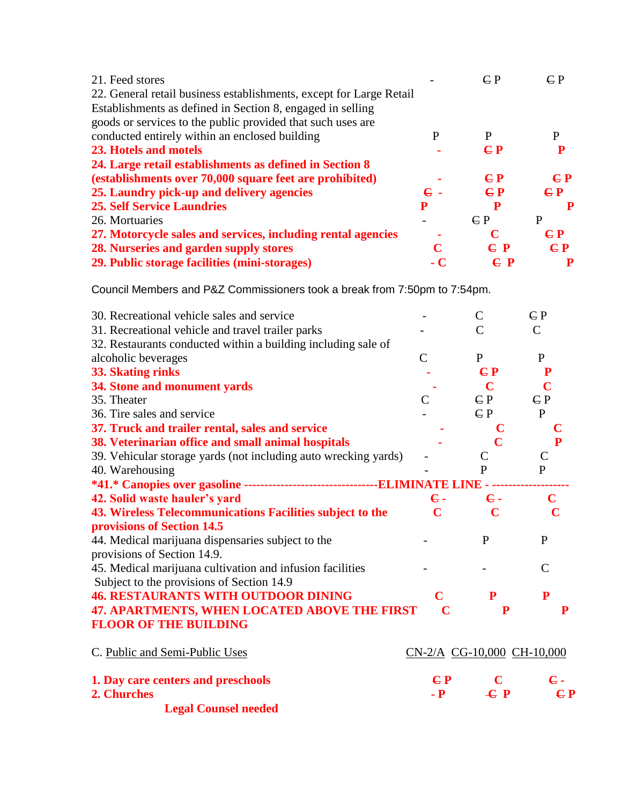| 21. Feed stores                                                     |            | $\epsilon$ P            | $\epsilon$ P |
|---------------------------------------------------------------------|------------|-------------------------|--------------|
| 22. General retail business establishments, except for Large Retail |            |                         |              |
| Establishments as defined in Section 8, engaged in selling          |            |                         |              |
| goods or services to the public provided that such uses are         |            |                         |              |
| conducted entirely within an enclosed building                      | P          | P                       | P            |
| 23. Hotels and motels                                               |            | $C$ $P$                 |              |
| 24. Large retail establishments as defined in Section 8             |            |                         |              |
| (establishments over 70,000 square feet are prohibited)             |            | $\mathbf{C} \mathbf{P}$ | $C_{\rm P}$  |
| 25. Laundry pick-up and delivery agencies                           | $\bf{e}$ . | $E$ P                   | $E$ P        |
| <b>25. Self Service Laundries</b>                                   | P          | P                       | P            |
| 26. Mortuaries                                                      |            | $\mathbf{C}$ P          | P            |
| 27. Motorcycle sales and services, including rental agencies        |            | C                       | $C_{\rm P}$  |
| 28. Nurseries and garden supply stores                              | C          | C P                     | C P          |
| 29. Public storage facilities (mini-storages)                       | - C        | $E$ P                   |              |
|                                                                     |            |                         |              |

Council Members and P&Z Commissioners took a break from 7:50pm to 7:54pm.

| 30. Recreational vehicle sales and service                                     |                            | $\mathsf{C}$            | $\mathsf{C} \mathsf{P}$ |
|--------------------------------------------------------------------------------|----------------------------|-------------------------|-------------------------|
| 31. Recreational vehicle and travel trailer parks                              |                            | $\mathcal{C}$           | $\mathcal{C}$           |
| 32. Restaurants conducted within a building including sale of                  |                            |                         |                         |
| alcoholic beverages                                                            | $\mathcal{C}$              | $\mathbf{P}$            | $\mathbf{P}$            |
| 33. Skating rinks                                                              |                            | $C$ $P$                 | ${\bf P}$               |
| 34. Stone and monument yards                                                   |                            | $\mathbf C$             | $\overline{\mathbf{C}}$ |
| 35. Theater                                                                    | $\overline{C}$             | $\mathsf{C}\,P$         | $\mathsf{C} \mathsf{P}$ |
| 36. Tire sales and service                                                     |                            | CP                      | $\mathbf{P}$            |
| 37. Truck and trailer rental, sales and service                                |                            |                         |                         |
| 38. Veterinarian office and small animal hospitals                             |                            | $\overline{\mathbf{C}}$ | P                       |
| 39. Vehicular storage yards (not including auto wrecking yards)                |                            | $\mathcal{C}$           | $\mathcal{C}$           |
| 40. Warehousing                                                                |                            | $\mathbf{P}$            | ${\bf P}$               |
| *41.* Canopies over gasoline -----------------------------------ELIMINATE LINE |                            |                         |                         |
| 42. Solid waste hauler's yard                                                  | $\epsilon$ .               | $\epsilon$ .            | C                       |
| 43. Wireless Telecommunications Facilities subject to the                      | $\mathbf C$                | $\mathbf C$             |                         |
| provisions of Section 14.5                                                     |                            |                         |                         |
| 44. Medical marijuana dispensaries subject to the                              |                            | P                       | $\mathbf{P}$            |
| provisions of Section 14.9.                                                    |                            |                         |                         |
| 45. Medical marijuana cultivation and infusion facilities                      |                            |                         | $\mathsf{C}$            |
| Subject to the provisions of Section 14.9                                      |                            |                         |                         |
| <b>46. RESTAURANTS WITH OUTDOOR DINING</b>                                     | C                          | ${\bf P}$               | P                       |
| 47. APARTMENTS, WHEN LOCATED ABOVE THE FIRST                                   |                            | ${\bf P}$               | P                       |
| <b>FLOOR OF THE BUILDING</b>                                                   |                            |                         |                         |
| C. Public and Semi-Public Uses                                                 | CN-2/A CG-10,000 CH-10,000 |                         |                         |
| 1. Day care centers and preschools                                             | E                          | $\mathbf C$             | $\epsilon$ .            |
| 2. Churches                                                                    | $-$ <b>P</b>               | $\epsilon$ P            | E P                     |
| <b>Legal Counsel needed</b>                                                    |                            |                         |                         |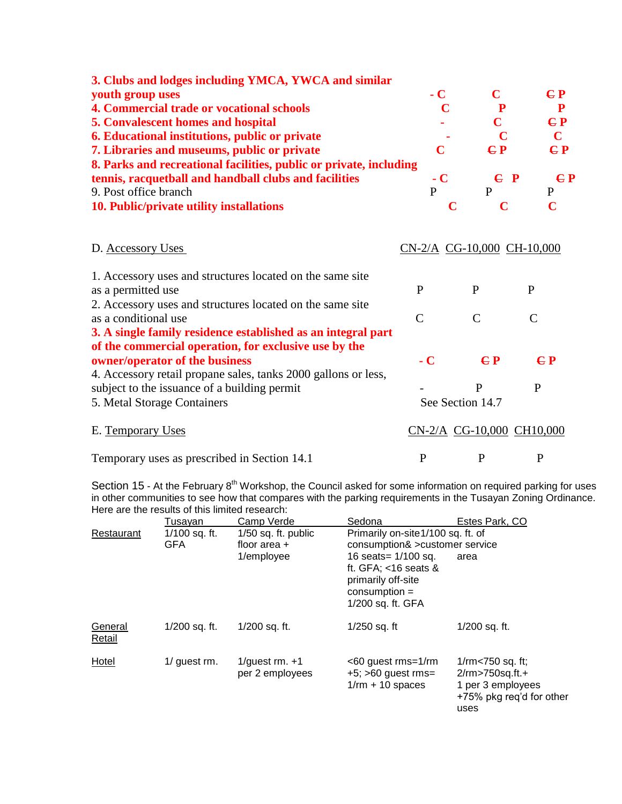| 3. Clubs and lodges including YMCA, YWCA and similar               |      |         |             |
|--------------------------------------------------------------------|------|---------|-------------|
| youth group uses                                                   | $-C$ | C       | $C_{P}$     |
| 4. Commercial trade or vocational schools                          |      |         | P           |
| <b>5. Convalescent homes and hospital</b>                          |      | C       | $C_{\rm P}$ |
| <b>6. Educational institutions, public or private</b>              |      |         | $\mathbf C$ |
| 7. Libraries and museums, public or private                        | C    | CP      | C P         |
| 8. Parks and recreational facilities, public or private, including |      |         |             |
| tennis, racquetball and handball clubs and facilities              | $-C$ | $C$ $P$ | $C$ $P$     |
| 9. Post office branch                                              | P    | P       | P           |
| 10. Public/private utility installations                           |      |         |             |

# D. Accessory Uses CN-2/A CG-10,000 CH-10,000

| 1. Accessory uses and structures located on the same site      |                  |                           |                         |
|----------------------------------------------------------------|------------------|---------------------------|-------------------------|
| as a permitted use                                             | P                | P                         | P                       |
| 2. Accessory uses and structures located on the same site      |                  |                           |                         |
| as a conditional use                                           | C                | C                         |                         |
| 3. A single family residence established as an integral part   |                  |                           |                         |
| of the commercial operation, for exclusive use by the          |                  |                           |                         |
| owner/operator of the business                                 | $-C$             | $C$ $P$                   | $\mathbf{C} \mathbf{P}$ |
| 4. Accessory retail propane sales, tanks 2000 gallons or less, |                  |                           |                         |
| subject to the issuance of a building permit                   |                  | P                         | P                       |
| 5. Metal Storage Containers                                    | See Section 14.7 |                           |                         |
| E. Temporary Uses                                              |                  | CN-2/A CG-10,000 CH10,000 |                         |
| Temporary uses as prescribed in Section 14.1                   | P                |                           | P                       |

Section 15 - At the February 8<sup>th</sup> Workshop, the Council asked for some information on required parking for uses in other communities to see how that compares with the parking requirements in the Tusayan Zoning Ordinance. Here are the results of this limited research:

|                   | Tusavan                     | Camp Verde                              | Sedona                                                                                                         | Estes Park, CO                                                                                             |  |
|-------------------|-----------------------------|-----------------------------------------|----------------------------------------------------------------------------------------------------------------|------------------------------------------------------------------------------------------------------------|--|
| Restaurant        | 1/100 sq. ft.<br><b>GFA</b> | $1/50$ sq. ft. public<br>floor area $+$ | Primarily on-site1/100 sq. ft. of<br>consumption& > customer service                                           |                                                                                                            |  |
|                   |                             | 1/employee                              | 16 seats= $1/100$ sq.<br>ft. GFA; $<$ 16 seats &<br>primarily off-site<br>$consumption =$<br>1/200 sq. ft. GFA | area                                                                                                       |  |
| General<br>Retail | 1/200 sq. ft.               | 1/200 sq. ft.                           | $1/250$ sq. ft                                                                                                 | 1/200 sq. ft.                                                                                              |  |
| Hotel             | 1/ guest rm.                | 1/guest $rm. +1$<br>per 2 employees     | <60 guest rms=1/rm<br>$+5$ ; $>60$ guest rms=<br>$1$ /rm + 10 spaces                                           | $1$ /rm $<$ 750 sq. ft;<br>$2$ /rm $>750$ sq.ft.+<br>1 per 3 employees<br>+75% pkg reg'd for other<br>uses |  |